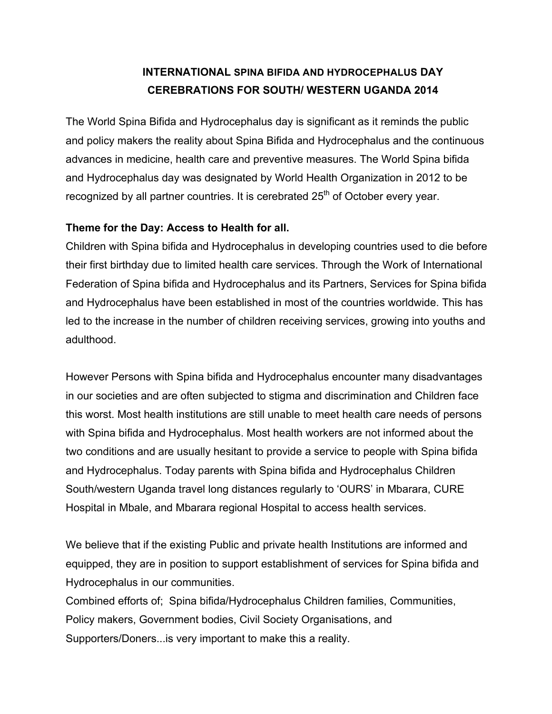## **INTERNATIONAL SPINA BIFIDA AND HYDROCEPHALUS DAY CEREBRATIONS FOR SOUTH/ WESTERN UGANDA 2014**

The World Spina Bifida and Hydrocephalus day is significant as it reminds the public and policy makers the reality about Spina Bifida and Hydrocephalus and the continuous advances in medicine, health care and preventive measures. The World Spina bifida and Hydrocephalus day was designated by World Health Organization in 2012 to be recognized by all partner countries. It is cerebrated  $25<sup>th</sup>$  of October every year.

## **Theme for the Day: Access to Health for all.**

Children with Spina bifida and Hydrocephalus in developing countries used to die before their first birthday due to limited health care services. Through the Work of International Federation of Spina bifida and Hydrocephalus and its Partners, Services for Spina bifida and Hydrocephalus have been established in most of the countries worldwide. This has led to the increase in the number of children receiving services, growing into youths and adulthood.

However Persons with Spina bifida and Hydrocephalus encounter many disadvantages in our societies and are often subjected to stigma and discrimination and Children face this worst. Most health institutions are still unable to meet health care needs of persons with Spina bifida and Hydrocephalus. Most health workers are not informed about the two conditions and are usually hesitant to provide a service to people with Spina bifida and Hydrocephalus. Today parents with Spina bifida and Hydrocephalus Children South/western Uganda travel long distances regularly to 'OURS' in Mbarara, CURE Hospital in Mbale, and Mbarara regional Hospital to access health services.

We believe that if the existing Public and private health Institutions are informed and equipped, they are in position to support establishment of services for Spina bifida and Hydrocephalus in our communities.

Combined efforts of; Spina bifida/Hydrocephalus Children families, Communities, Policy makers, Government bodies, Civil Society Organisations, and Supporters/Doners...is very important to make this a reality.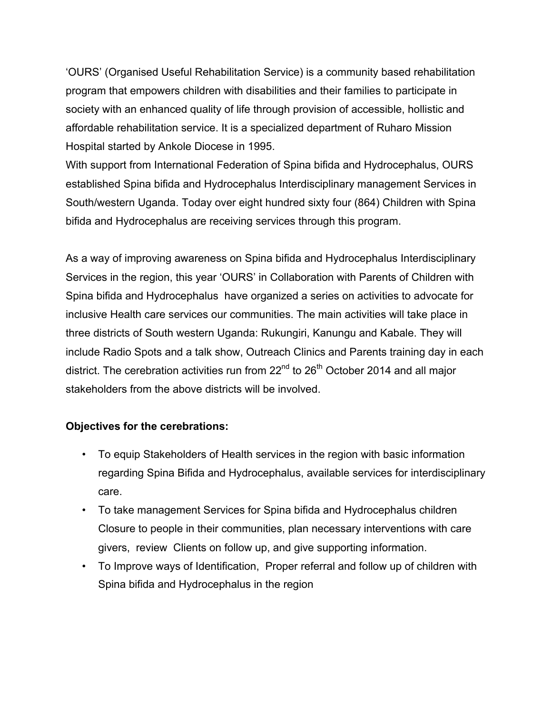'OURS' (Organised Useful Rehabilitation Service) is a community based rehabilitation program that empowers children with disabilities and their families to participate in society with an enhanced quality of life through provision of accessible, hollistic and affordable rehabilitation service. It is a specialized department of Ruharo Mission Hospital started by Ankole Diocese in 1995.

With support from International Federation of Spina bifida and Hydrocephalus, OURS established Spina bifida and Hydrocephalus Interdisciplinary management Services in South/western Uganda. Today over eight hundred sixty four (864) Children with Spina bifida and Hydrocephalus are receiving services through this program.

As a way of improving awareness on Spina bifida and Hydrocephalus Interdisciplinary Services in the region, this year 'OURS' in Collaboration with Parents of Children with Spina bifida and Hydrocephalus have organized a series on activities to advocate for inclusive Health care services our communities. The main activities will take place in three districts of South western Uganda: Rukungiri, Kanungu and Kabale. They will include Radio Spots and a talk show, Outreach Clinics and Parents training day in each district. The cerebration activities run from  $22<sup>nd</sup>$  to  $26<sup>th</sup>$  October 2014 and all major stakeholders from the above districts will be involved.

## **Objectives for the cerebrations:**

- To equip Stakeholders of Health services in the region with basic information regarding Spina Bifida and Hydrocephalus, available services for interdisciplinary care.
- To take management Services for Spina bifida and Hydrocephalus children Closure to people in their communities, plan necessary interventions with care givers, review Clients on follow up, and give supporting information.
- To Improve ways of Identification, Proper referral and follow up of children with Spina bifida and Hydrocephalus in the region